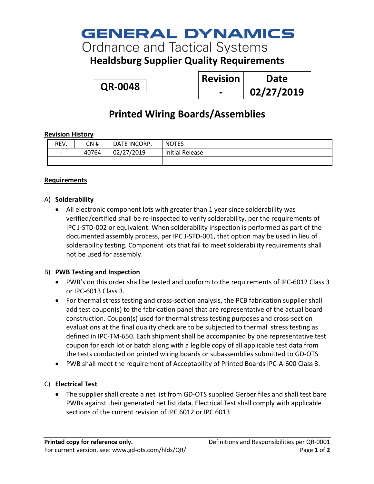# **GENERAL DYNAMICS**

**Ordnance and Tactical Systems** 

### **Healdsburg Supplier Quality Requirements**

**QR-0048**

| <b>Revision</b> | Date       |
|-----------------|------------|
|                 | 02/27/2019 |

### **Printed Wiring Boards/Assemblies**

#### **Revision History**

| REV.                     | CN #  | DATE INCORP. | <b>NOTES</b>           |
|--------------------------|-------|--------------|------------------------|
| $\overline{\phantom{0}}$ | 40764 | 02/27/2019   | <b>Initial Release</b> |
|                          |       |              |                        |

#### **Requirements**

#### A) **Solderability**

• All electronic component lots with greater than 1 year since solderability was verified/certified shall be re-inspected to verify solderability, per the requirements of IPC J-STD-002 or equivalent. When solderability inspection is performed as part of the documented assembly process, per IPC J-STD-001, that option may be used in lieu of solderability testing. Component lots that fail to meet solderability requirements shall not be used for assembly.

#### B) **PWB Testing and Inspection**

- PWB's on this order shall be tested and conform to the requirements of IPC-6012 Class 3 or IPC-6013 Class 3.
- For thermal stress testing and cross-section analysis, the PCB fabrication supplier shall add test coupon(s) to the fabrication panel that are representative of the actual board construction. Coupon(s) used for thermal stress testing purposes and cross-section evaluations at the final quality check are to be subjected to thermal stress testing as defined in IPC-TM-650. Each shipment shall be accompanied by one representative test coupon for each lot or batch along with a legible copy of all applicable test data from the tests conducted on printed wiring boards or subassemblies submitted to GD-OTS
- PWB shall meet the requirement of Acceptability of Printed Boards IPC-A-600 Class 3.

#### C) **Electrical Test**

• The supplier shall create a net list from GD-OTS supplied Gerber files and shall test bare PWBs against their generated net list data. Electrical Test shall comply with applicable sections of the current revision of IPC 6012 or IPC 6013